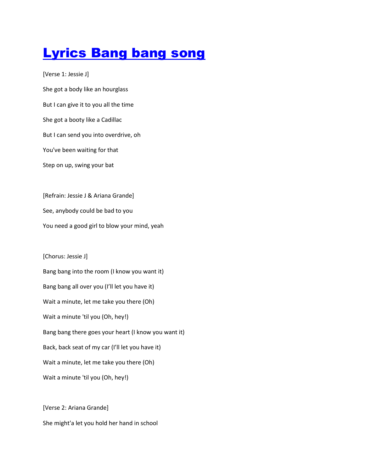## [Lyrics Bang bang song](https://gosonglyrics.com/bang-bang-lyrics/)

[Verse 1: Jessie J] She got a body like an hourglass But I can give it to you all the time She got a booty like a Cadillac But I can send you into overdrive, oh You've been waiting for that Step on up, swing your bat

[Refrain: Jessie J & Ariana Grande] See, anybody could be bad to you You need a good girl to blow your mind, yeah

[Chorus: Jessie J] Bang bang into the room (I know you want it) Bang bang all over you (I'll let you have it) Wait a minute, let me take you there (Oh) Wait a minute 'til you (Oh, hey!) Bang bang there goes your heart (I know you want it) Back, back seat of my car (I'll let you have it) Wait a minute, let me take you there (Oh) Wait a minute 'til you (Oh, hey!)

[Verse 2: Ariana Grande] She might'a let you hold her hand in school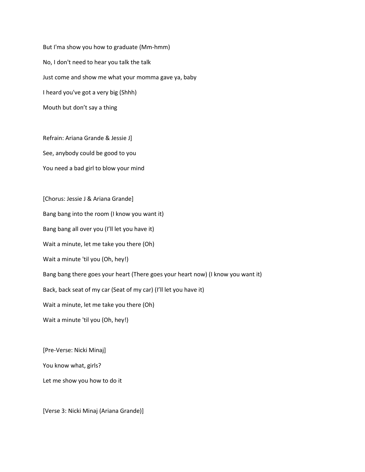But I'ma show you how to graduate (Mm-hmm) No, I don't need to hear you talk the talk Just come and show me what your momma gave ya, baby I heard you've got a very big (Shhh) Mouth but don't say a thing

Refrain: Ariana Grande & Jessie J] See, anybody could be good to you You need a bad girl to blow your mind

[Chorus: Jessie J & Ariana Grande] Bang bang into the room (I know you want it) Bang bang all over you (I'll let you have it) Wait a minute, let me take you there (Oh) Wait a minute 'til you (Oh, hey!) Bang bang there goes your heart (There goes your heart now) (I know you want it) Back, back seat of my car (Seat of my car) (I'll let you have it) Wait a minute, let me take you there (Oh) Wait a minute 'til you (Oh, hey!)

[Pre-Verse: Nicki Minaj]

You know what, girls?

Let me show you how to do it

[Verse 3: Nicki Minaj (Ariana Grande)]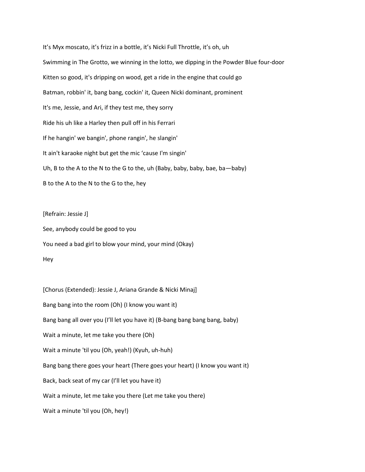It's Myx moscato, it's frizz in a bottle, it's Nicki Full Throttle, it's oh, uh Swimming in The Grotto, we winning in the lotto, we dipping in the Powder Blue four-door Kitten so good, it's dripping on wood, get a ride in the engine that could go Batman, robbin' it, bang bang, cockin' it, Queen Nicki dominant, prominent It's me, Jessie, and Ari, if they test me, they sorry Ride his uh like a Harley then pull off in his Ferrari If he hangin' we bangin', phone rangin', he slangin' It ain't karaoke night but get the mic 'cause I'm singin' Uh, B to the A to the N to the G to the, uh (Baby, baby, baby, bae, ba—baby) B to the A to the N to the G to the, hey

[Refrain: Jessie J] See, anybody could be good to you

You need a bad girl to blow your mind, your mind (Okay)

Hey

[Chorus (Extended): Jessie J, Ariana Grande & Nicki Minaj] Bang bang into the room (Oh) (I know you want it) Bang bang all over you (I'll let you have it) (B-bang bang bang bang, baby) Wait a minute, let me take you there (Oh) Wait a minute 'til you (Oh, yeah!) (Kyuh, uh-huh) Bang bang there goes your heart (There goes your heart) (I know you want it) Back, back seat of my car (I'll let you have it) Wait a minute, let me take you there (Let me take you there) Wait a minute 'til you (Oh, hey!)